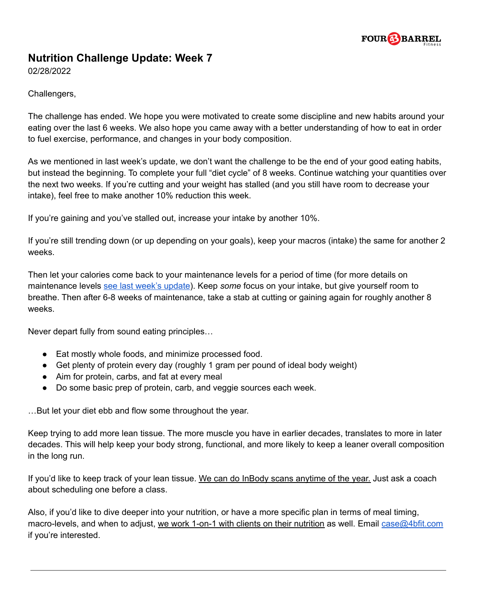

## **Nutrition Challenge Update: Week 7**

02/28/2022

Challengers,

The challenge has ended. We hope you were motivated to create some discipline and new habits around your eating over the last 6 weeks. We also hope you came away with a better understanding of how to eat in order to fuel exercise, performance, and changes in your body composition.

As we mentioned in last week's update, we don't want the challenge to be the end of your good eating habits, but instead the beginning. To complete your full "diet cycle" of 8 weeks. Continue watching your quantities over the next two weeks. If you're cutting and your weight has stalled (and you still have room to decrease your intake), feel free to make another 10% reduction this week.

If you're gaining and you've stalled out, increase your intake by another 10%.

If you're still trending down (or up depending on your goals), keep your macros (intake) the same for another 2 weeks.

Then let your calories come back to your maintenance levels for a period of time (for more details on maintenance levels see last week's [update](https://4bfit.com/wp-content/uploads/2022/02/Nutrition-Challenge-2022-Week-6-Update.pdf)). Keep *some* focus on your intake, but give yourself room to breathe. Then after 6-8 weeks of maintenance, take a stab at cutting or gaining again for roughly another 8 weeks.

Never depart fully from sound eating principles…

- Eat mostly whole foods, and minimize processed food.
- Get plenty of protein every day (roughly 1 gram per pound of ideal body weight)
- Aim for protein, carbs, and fat at every meal
- Do some basic prep of protein, carb, and veggie sources each week.

…But let your diet ebb and flow some throughout the year.

Keep trying to add more lean tissue. The more muscle you have in earlier decades, translates to more in later decades. This will help keep your body strong, functional, and more likely to keep a leaner overall composition in the long run.

If you'd like to keep track of your lean tissue. We can do InBody scans anytime of the year. Just ask a coach about scheduling one before a class.

Also, if you'd like to dive deeper into your nutrition, or have a more specific plan in terms of meal timing, macro-levels, and when to adjust, we work 1-on-1 with clients on their nutrition as well. Email [case@4bfit.com](mailto:case@4bfit.com) if you're interested.